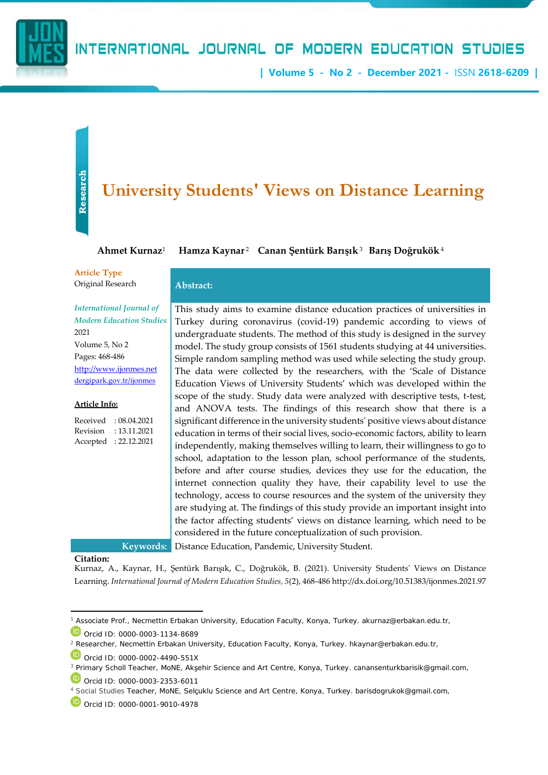

## INTERNATIONAL JOURNAL OF MODERN EDUCATION STUDIES

**| Volume 5 - No 2 - December 2021 -** ISSN **2618-6209 |**

# **Research**

## **University Students' Views on Distance Learning**

**Ahmet Kurnaz**<sup>1</sup>

- **Hamza Kaynar** <sup>2</sup> – **Canan Şentürk Barışık**<sup>3</sup>**Barış Doğrukök**<sup>4</sup>

**Article Type** Original Research **Abstract:**

*International Journal of Modern Education Studies* 2021 Volume 5, No 2

Pages: 468-486 [http://www.ijonmes.net](http://www.ijonmes.net/) [dergipark.gov.tr/ijonmes](http://www.dergipark.gov.tr/ijonmes)

#### **Article Info:**

Received : 08.04.2021 Revision : 13.11.2021 Accepted : 22.12.2021

This study aims to examine distance education practices of universities in Turkey during coronavirus (covid-19) pandemic according to views of undergraduate students. The method of this study is designed in the survey model. The study group consists of 1561 students studying at 44 universities. Simple random sampling method was used while selecting the study group. The data were collected by the researchers, with the 'Scale of Distance Education Views of University Students' which was developed within the scope of the study. Study data were analyzed with descriptive tests, t-test, and ANOVA tests. The findings of this research show that there is a significant difference in the university students' positive views about distance education in terms of their social lives, socio-economic factors, ability to learn independently, making themselves willing to learn, their willingness to go to school, adaptation to the lesson plan, school performance of the students, before and after course studies, devices they use for the education, the internet connection quality they have, their capability level to use the technology, access to course resources and the system of the university they are studying at. The findings of this study provide an important insight into the factor affecting students' views on distance learning, which need to be considered in the future conceptualization of such provision.

**Keywords:** Distance Education, Pandemic, University Student.

#### **Citation:**

Kurnaz, A., Kaynar, H., Şentürk Barışık, C., Doğrukök, B. (2021). University Students' Views on Distance Learning. *International Journal of Modern Education Studies, 5*(2), 468-486 http://dx.doi.org/10.51383/ijonmes.2021.97

4 Social Studies Teacher, MoNE, Selçuklu Science and Art Centre, Konya, Turkey. barisdogrukok@gmail.com,

<sup>1</sup> Associate Prof., Necmettin Erbakan University, Education Faculty, Konya, Turkey. akurnaz@erbakan.edu.tr,

Orcid ID: 0000-0003-1134-8689

<sup>2</sup> Researcher, Necmettin Erbakan University, Education Faculty, Konya, Turkey. hkaynar@erbakan.edu.tr,

Orcid ID: 0000-0002-4490-551X

<sup>&</sup>lt;sup>3</sup> Primary Scholl Teacher, MoNE, Akşehir Science and Art Centre, Konya, Turkey. canansenturkbarisik@gmail.com, Orcid ID: 0000-0003-2353-6011

Orcid ID: 0000-0001-9010-4978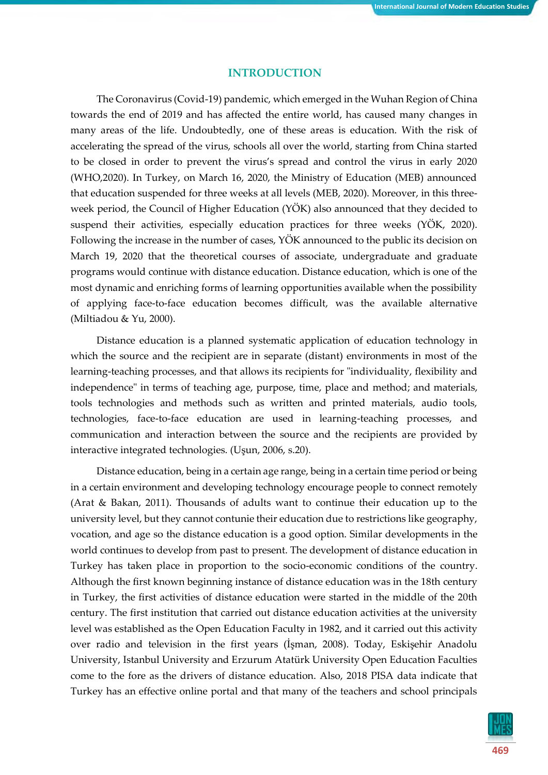#### **INTRODUCTION**

The Coronavirus (Covid-19) pandemic, which emerged in the Wuhan Region of China towards the end of 2019 and has affected the entire world, has caused many changes in many areas of the life. Undoubtedly, one of these areas is education. With the risk of accelerating the spread of the virus, schools all over the world, starting from China started to be closed in order to prevent the virus's spread and control the virus in early 2020 (WHO,2020). In Turkey, on March 16, 2020, the Ministry of Education (MEB) announced that education suspended for three weeks at all levels (MEB, 2020). Moreover, in this threeweek period, the Council of Higher Education (YÖK) also announced that they decided to suspend their activities, especially education practices for three weeks (YÖK, 2020). Following the increase in the number of cases, YÖK announced to the public its decision on March 19, 2020 that the theoretical courses of associate, undergraduate and graduate programs would continue with distance education. Distance education, which is one of the most dynamic and enriching forms of learning opportunities available when the possibility of applying face-to-face education becomes difficult, was the available alternative (Miltiadou & Yu, 2000).

Distance education is a planned systematic application of education technology in which the source and the recipient are in separate (distant) environments in most of the learning-teaching processes, and that allows its recipients for "individuality, flexibility and independence" in terms of teaching age, purpose, time, place and method; and materials, tools technologies and methods such as written and printed materials, audio tools, technologies, face-to-face education are used in learning-teaching processes, and communication and interaction between the source and the recipients are provided by interactive integrated technologies. (Uşun, 2006, s.20).

Distance education, being in a certain age range, being in a certain time period or being in a certain environment and developing technology encourage people to connect remotely (Arat & Bakan, 2011). Thousands of adults want to continue their education up to the university level, but they cannot contunie their education due to restrictions like geography, vocation, and age so the distance education is a good option. Similar developments in the world continues to develop from past to present. The development of distance education in Turkey has taken place in proportion to the socio-economic conditions of the country. Although the first known beginning instance of distance education was in the 18th century in Turkey, the first activities of distance education were started in the middle of the 20th century. The first institution that carried out distance education activities at the university level was established as the Open Education Faculty in 1982, and it carried out this activity over radio and television in the first years (İşman, 2008). Today, Eskişehir Anadolu University, Istanbul University and Erzurum Atatürk University Open Education Faculties come to the fore as the drivers of distance education. Also, 2018 PISA data indicate that Turkey has an effective online portal and that many of the teachers and school principals

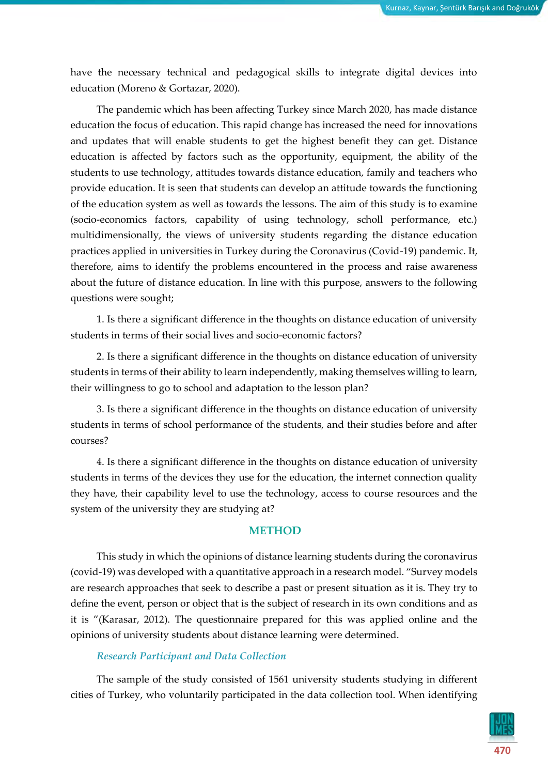have the necessary technical and pedagogical skills to integrate digital devices into education (Moreno & Gortazar, 2020).

The pandemic which has been affecting Turkey since March 2020, has made distance education the focus of education. This rapid change has increased the need for innovations and updates that will enable students to get the highest benefit they can get. Distance education is affected by factors such as the opportunity, equipment, the ability of the students to use technology, attitudes towards distance education, family and teachers who provide education. It is seen that students can develop an attitude towards the functioning of the education system as well as towards the lessons. The aim of this study is to examine (socio-economics factors, capability of using technology, scholl performance, etc.) multidimensionally, the views of university students regarding the distance education practices applied in universities in Turkey during the Coronavirus (Covid-19) pandemic. It, therefore, aims to identify the problems encountered in the process and raise awareness about the future of distance education. In line with this purpose, answers to the following questions were sought;

1. Is there a significant difference in the thoughts on distance education of university students in terms of their social lives and socio-economic factors?

2. Is there a significant difference in the thoughts on distance education of university students in terms of their ability to learn independently, making themselves willing to learn, their willingness to go to school and adaptation to the lesson plan?

3. Is there a significant difference in the thoughts on distance education of university students in terms of school performance of the students, and their studies before and after courses?

4. Is there a significant difference in the thoughts on distance education of university students in terms of the devices they use for the education, the internet connection quality they have, their capability level to use the technology, access to course resources and the system of the university they are studying at?

#### **METHOD**

This study in which the opinions of distance learning students during the coronavirus (covid-19) was developed with a quantitative approach in a research model. "Survey models are research approaches that seek to describe a past or present situation as it is. They try to define the event, person or object that is the subject of research in its own conditions and as it is "(Karasar, 2012). The questionnaire prepared for this was applied online and the opinions of university students about distance learning were determined.

#### *Research Participant and Data Collection*

The sample of the study consisted of 1561 university students studying in different cities of Turkey, who voluntarily participated in the data collection tool. When identifying

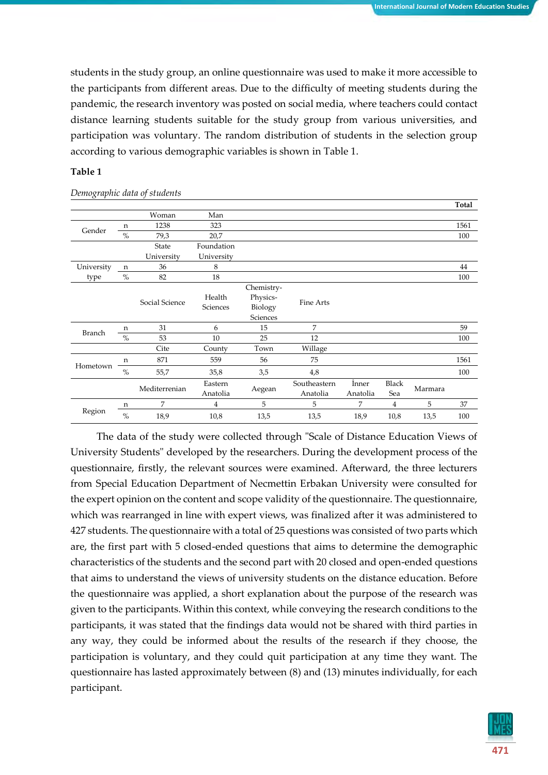students in the study group, an online questionnaire was used to make it more accessible to the participants from different areas. Due to the difficulty of meeting students during the pandemic, the research inventory was posted on social media, where teachers could contact distance learning students suitable for the study group from various universities, and participation was voluntary. The random distribution of students in the selection group according to various demographic variables is shown in Table 1.

#### **Table 1**

|               |      |                |                     |            |                          |                   |                |         | Total |
|---------------|------|----------------|---------------------|------------|--------------------------|-------------------|----------------|---------|-------|
|               |      | Woman          | Man                 |            |                          |                   |                |         |       |
|               | n    | 1238           | 323                 |            |                          |                   |                |         | 1561  |
| Gender        | $\%$ | 79,3           | 20,7                |            |                          |                   |                |         | 100   |
|               |      | State          | Foundation          |            |                          |                   |                |         |       |
|               |      | University     | University          |            |                          |                   |                |         |       |
| University    | n    | 36             | 8                   |            |                          |                   |                |         | 44    |
| type          | $\%$ | 82             | 18                  |            |                          |                   |                |         | 100   |
|               |      |                |                     | Chemistry- |                          |                   |                |         |       |
|               |      | Social Science | Health              | Physics-   | Fine Arts                |                   |                |         |       |
|               |      |                | Sciences            | Biology    |                          |                   |                |         |       |
|               |      |                |                     | Sciences   |                          |                   |                |         |       |
| <b>Branch</b> | n    | 31             | 6                   | 15         | 7                        |                   |                |         | 59    |
|               | $\%$ | 53             | 10                  | 25         | 12                       |                   |                |         | 100   |
|               |      | Cite           | County              | Town       | Willage                  |                   |                |         |       |
|               | n    | 871            | 559                 | 56         | 75                       |                   |                |         | 1561  |
| Hometown      | $\%$ | 55,7           | 35,8                | 3,5        | 4,8                      |                   |                |         | 100   |
|               |      | Mediterrenian  | Eastern<br>Anatolia | Aegean     | Southeastern<br>Anatolia | İnner<br>Anatolia | Black<br>Sea   | Marmara |       |
|               | n    | 7              | $\overline{4}$      | 5          | 5                        | 7                 | $\overline{4}$ | 5       | 37    |
| Region        | $\%$ | 18,9           | 10,8                | 13,5       | 13,5                     | 18,9              | 10,8           | 13,5    | 100   |

*Demographic data of students*

The data of the study were collected through "Scale of Distance Education Views of University Students" developed by the researchers. During the development process of the questionnaire, firstly, the relevant sources were examined. Afterward, the three lecturers from Special Education Department of Necmettin Erbakan University were consulted for the expert opinion on the content and scope validity of the questionnaire. The questionnaire, which was rearranged in line with expert views, was finalized after it was administered to 427 students. The questionnaire with a total of 25 questions was consisted of two parts which are, the first part with 5 closed-ended questions that aims to determine the demographic characteristics of the students and the second part with 20 closed and open-ended questions that aims to understand the views of university students on the distance education. Before the questionnaire was applied, a short explanation about the purpose of the research was given to the participants. Within this context, while conveying the research conditions to the participants, it was stated that the findings data would not be shared with third parties in any way, they could be informed about the results of the research if they choose, the participation is voluntary, and they could quit participation at any time they want. The questionnaire has lasted approximately between (8) and (13) minutes individually, for each participant.

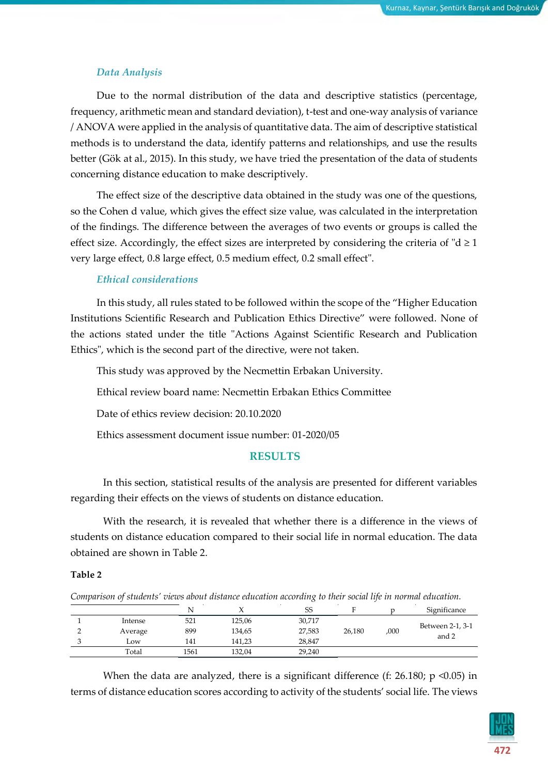#### *Data Analysis*

Due to the normal distribution of the data and descriptive statistics (percentage, frequency, arithmetic mean and standard deviation), t-test and one-way analysis of variance / ANOVA were applied in the analysis of quantitative data. The aim of descriptive statistical methods is to understand the data, identify patterns and relationships, and use the results better (Gök at al., 2015). In this study, we have tried the presentation of the data of students concerning distance education to make descriptively.

The effect size of the descriptive data obtained in the study was one of the questions, so the Cohen d value, which gives the effect size value, was calculated in the interpretation of the findings. The difference between the averages of two events or groups is called the effect size. Accordingly, the effect sizes are interpreted by considering the criteria of " $d \ge 1$ " very large effect, 0.8 large effect, 0.5 medium effect, 0.2 small effect".

#### *Ethical considerations*

In this study, all rules stated to be followed within the scope of the "Higher Education Institutions Scientific Research and Publication Ethics Directive" were followed. None of the actions stated under the title "Actions Against Scientific Research and Publication Ethics", which is the second part of the directive, were not taken.

This study was approved by the Necmettin Erbakan University.

Ethical review board name: Necmettin Erbakan Ethics Committee

Date of ethics review decision: 20.10.2020

Ethics assessment document issue number: 01-2020/05

#### **RESULTS**

In this section, statistical results of the analysis are presented for different variables regarding their effects on the views of students on distance education.

With the research, it is revealed that whether there is a difference in the views of students on distance education compared to their social life in normal education. The data obtained are shown in Table 2.

#### **Table 2**

*Comparison of students' views about distance education according to their social life in normal education.* 

|         |      |        | $\sim$ |        |      |                           |
|---------|------|--------|--------|--------|------|---------------------------|
|         |      |        | SS     |        |      | Significance              |
| Intense | 521  | 125,06 | 30,717 |        |      |                           |
| Average | 899  | 134,65 | 27,583 | 26,180 | ,000 | Between 2-1, 3-1<br>and 2 |
| Low     | 141  | 141,23 | 28.847 |        |      |                           |
| Total   | 1561 | 132,04 | 29,240 |        |      |                           |
|         |      |        |        |        |      |                           |

When the data are analyzed, there is a significant difference (f: 26.180;  $p \le 0.05$ ) in terms of distance education scores according to activity of the students' social life. The views

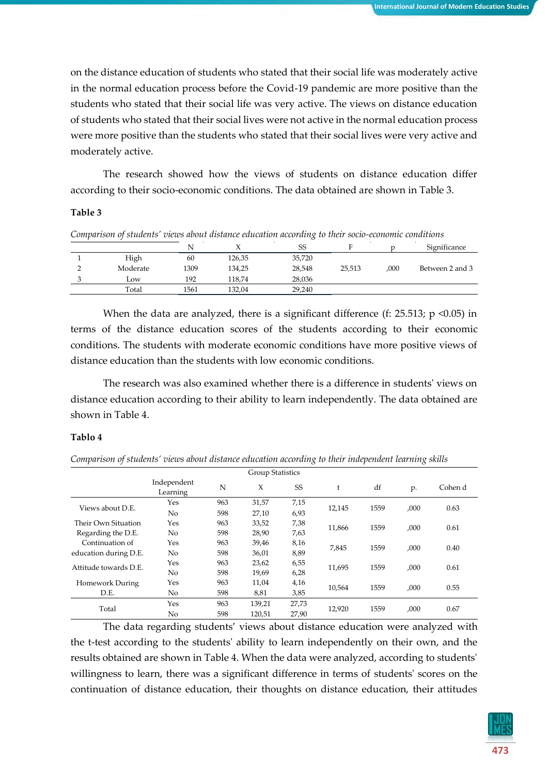on the distance education of students who stated that their social life was moderately active in the normal education process before the Covid-19 pandemic are more positive than the students who stated that their social life was very active. The views on distance education of students who stated that their social lives were not active in the normal education process were more positive than the students who stated that their social lives were very active and moderately active.

The research showed how the views of students on distance education differ according to their socio-economic conditions. The data obtained are shown in Table 3.

#### **Table 3**

|          | N    |        | SS     |        |      | Significance    |
|----------|------|--------|--------|--------|------|-----------------|
| High     | 60   | 126,35 | 35,720 |        |      |                 |
| Moderate | 1309 | 134,25 | 28,548 | 25,513 | ,000 | Between 2 and 3 |
| Low      | 192  | 118,74 | 28,036 |        |      |                 |
| Total    | 1561 | 132,04 | 29,240 |        |      |                 |

When the data are analyzed, there is a significant difference (f: 25.513; p <0.05) in terms of the distance education scores of the students according to their economic conditions. The students with moderate economic conditions have more positive views of distance education than the students with low economic conditions.

The research was also examined whether there is a difference in students' views on distance education according to their ability to learn independently. The data obtained are shown in Table 4.

#### **Tablo 4**

*Comparison of students' views about distance education according to their independent learning skills*

|                       |                         |     | <b>Group Statistics</b> |       |        |      |      |         |
|-----------------------|-------------------------|-----|-------------------------|-------|--------|------|------|---------|
|                       | Independent<br>Learning | N   | X                       | SS    | t      | df   | p.   | Cohen d |
|                       | Yes                     | 963 | 31,57                   | 7,15  |        |      |      |         |
| Views about D.E.      | No                      | 598 | 27,10                   | 6,93  | 12,145 | 1559 | ,000 | 0.63    |
| Their Own Situation   | Yes                     | 963 | 33,52                   | 7,38  | 11,866 | 1559 | ,000 | 0.61    |
| Regarding the D.E.    | No                      | 598 | 28,90                   | 7,63  |        |      |      |         |
| Continuation of       | Yes                     | 963 | 39,46                   | 8,16  | 7,845  | 1559 | ,000 | 0.40    |
| education during D.E. | No                      | 598 | 36,01                   | 8,89  |        |      |      |         |
| Attitude towards D.E. | Yes                     | 963 | 23,62                   | 6,55  | 11,695 | 1559 | ,000 | 0.61    |
|                       | No                      | 598 | 19,69                   | 6,28  |        |      |      |         |
| Homework During       | Yes                     | 963 | 11,04                   | 4,16  | 10.564 | 1559 | ,000 | 0.55    |
| D.E.                  | No                      | 598 | 8,81                    | 3,85  |        |      |      |         |
|                       | Yes                     | 963 | 139,21                  | 27,73 |        |      |      |         |
| Total                 | No                      | 598 | 120,51                  | 27,90 | 12,920 | 1559 | ,000 | 0.67    |

The data regarding students' views about distance education were analyzed with the t-test according to the students' ability to learn independently on their own, and the results obtained are shown in Table 4. When the data were analyzed, according to students' willingness to learn, there was a significant difference in terms of students' scores on the continuation of distance education, their thoughts on distance education, their attitudes

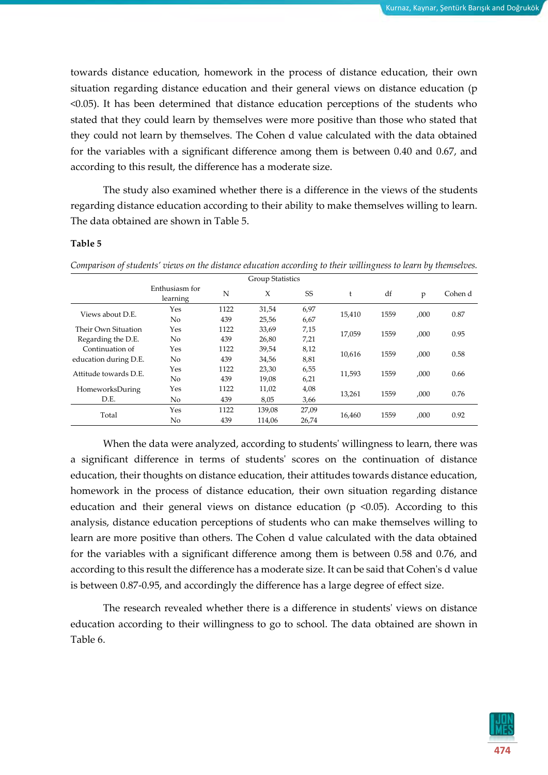towards distance education, homework in the process of distance education, their own situation regarding distance education and their general views on distance education (p <0.05). It has been determined that distance education perceptions of the students who stated that they could learn by themselves were more positive than those who stated that they could not learn by themselves. The Cohen d value calculated with the data obtained for the variables with a significant difference among them is between 0.40 and 0.67, and according to this result, the difference has a moderate size.

The study also examined whether there is a difference in the views of the students regarding distance education according to their ability to make themselves willing to learn. The data obtained are shown in Table 5.

#### **Table 5**

Group Statistics Enthusiasm for learning <sup>N</sup> <sup>X</sup> SS <sup>t</sup> df <sup>p</sup> Cohen d Views about D.E. Yes 1122 31,54 6,97<br> No 439 25,56 6,67 15,410 1559 ,000 0.87 No 439 25,56 6,67 Their Own Situation Regarding the D.E. Yes <sup>1122</sup> 33,69 7,15 17,059 <sup>1559</sup> ,000 0.95 No <sup>439</sup> 26,80 7,21 Continuation of education during D.E. Yes <sup>1122</sup> 39,54 8,12 10,616 <sup>1559</sup> ,000 0.58 No <sup>439</sup> 34,56 8,81 Attitude towards D.E. Yes <sup>1122</sup> 23,30 6,55 11,593 <sup>1559</sup> ,000 0.66 No <sup>439</sup> 19,08 6,21 HomeworksDuring D.E. Yes 1122 11,02 4,08 13,261 1559 ,000 0.76 No 439 8,05 3,66 Yes 1122 139,08 27,09<br>Total  $Y_1$  120 114.06 26.74 16,460 1559 ,000 0.92 No 439 114,06 26,74

*Comparison of students' views on the distance education according to their willingness to learn by themselves.*

When the data were analyzed, according to students' willingness to learn, there was a significant difference in terms of students' scores on the continuation of distance education, their thoughts on distance education, their attitudes towards distance education, homework in the process of distance education, their own situation regarding distance education and their general views on distance education ( $p \le 0.05$ ). According to this analysis, distance education perceptions of students who can make themselves willing to learn are more positive than others. The Cohen d value calculated with the data obtained for the variables with a significant difference among them is between 0.58 and 0.76, and according to this result the difference has a moderate size. It can be said that Cohen's d value is between 0.87-0.95, and accordingly the difference has a large degree of effect size.

The research revealed whether there is a difference in students' views on distance education according to their willingness to go to school. The data obtained are shown in Table 6.

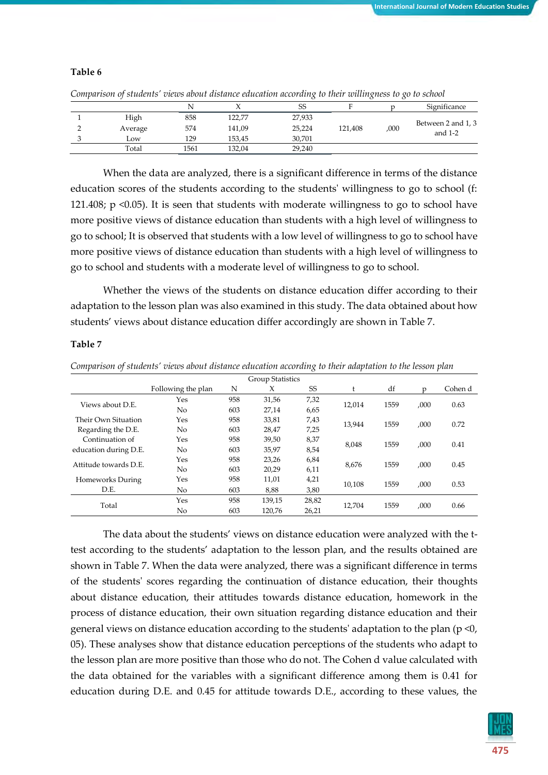*Comparison of students' views about distance education according to their willingness to go to school*

|         | N    |        | SS     |         |      | Significance                    |
|---------|------|--------|--------|---------|------|---------------------------------|
| High    | 858  | 122,77 | 27,933 |         |      |                                 |
| Average | 574  | 141,09 | 25,224 | 121,408 | ,000 | Between 2 and 1, 3<br>and $1-2$ |
| Low     | 129  | 153,45 | 30,701 |         |      |                                 |
| Total   | 1561 | 132.04 | 29,240 |         |      |                                 |

When the data are analyzed, there is a significant difference in terms of the distance education scores of the students according to the students' willingness to go to school (f: 121.408; p <0.05). It is seen that students with moderate willingness to go to school have more positive views of distance education than students with a high level of willingness to go to school; It is observed that students with a low level of willingness to go to school have more positive views of distance education than students with a high level of willingness to go to school and students with a moderate level of willingness to go to school.

Whether the views of the students on distance education differ according to their adaptation to the lesson plan was also examined in this study. The data obtained about how students' views about distance education differ accordingly are shown in Table 7.

#### **Table 7**

| Comparison of students' views about distance education according to their adaptation to the lesson plan |  |  |  |
|---------------------------------------------------------------------------------------------------------|--|--|--|
|---------------------------------------------------------------------------------------------------------|--|--|--|

|                       |                    |     | Group Statistics |       |        |      |      |         |
|-----------------------|--------------------|-----|------------------|-------|--------|------|------|---------|
|                       | Following the plan | N   | X                | SS    |        | df   | n    | Cohen d |
| Views about D.E.      | Yes                | 958 | 31,56            | 7,32  | 12.014 | 1559 |      | 0.63    |
|                       | No                 | 603 | 27,14            | 6,65  |        |      | ,000 |         |
| Their Own Situation   | Yes                | 958 | 33,81            | 7,43  | 13.944 | 1559 |      | 0.72    |
| Regarding the D.E.    | No                 | 603 | 28,47            | 7,25  |        |      | ,000 |         |
| Continuation of       | Yes                | 958 | 39,50            | 8,37  | 8.048  | 1559 | .000 | 0.41    |
| education during D.E. | No                 | 603 | 35,97            | 8,54  |        |      |      |         |
| Attitude towards D.E. | Yes                | 958 | 23,26            | 6,84  | 8.676  | 1559 | .000 | 0.45    |
|                       | No                 | 603 | 20,29            | 6,11  |        |      |      |         |
| Homeworks During      | Yes                | 958 | 11,01            | 4,21  | 10.108 | 1559 | .000 | 0.53    |
| D.E.                  | No.                | 603 | 8,88             | 3,80  |        |      |      |         |
|                       | Yes                | 958 | 139.15           | 28,82 | 12.704 | 1559 | .000 |         |
| Total                 | No                 | 603 | 120.76           | 26,21 |        |      |      | 0.66    |

The data about the students' views on distance education were analyzed with the ttest according to the students' adaptation to the lesson plan, and the results obtained are shown in Table 7. When the data were analyzed, there was a significant difference in terms of the students' scores regarding the continuation of distance education, their thoughts about distance education, their attitudes towards distance education, homework in the process of distance education, their own situation regarding distance education and their general views on distance education according to the students' adaptation to the plan (p <0, 05). These analyses show that distance education perceptions of the students who adapt to the lesson plan are more positive than those who do not. The Cohen d value calculated with the data obtained for the variables with a significant difference among them is 0.41 for education during D.E. and 0.45 for attitude towards D.E., according to these values, the

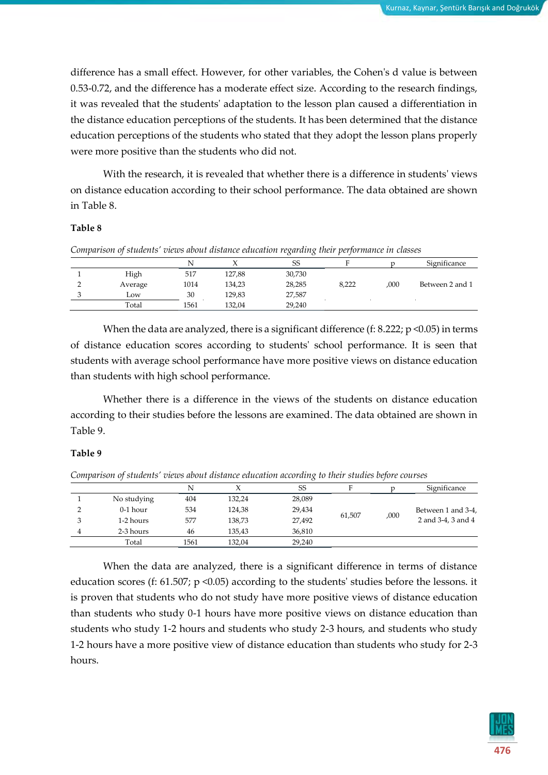difference has a small effect. However, for other variables, the Cohen's d value is between 0.53-0.72, and the difference has a moderate effect size. According to the research findings, it was revealed that the students' adaptation to the lesson plan caused a differentiation in the distance education perceptions of the students. It has been determined that the distance education perceptions of the students who stated that they adopt the lesson plans properly were more positive than the students who did not.

With the research, it is revealed that whether there is a difference in students' views on distance education according to their school performance. The data obtained are shown in Table 8.

#### **Table 8**

*Comparison of students' views about distance education regarding their performance in classes* 

|         | N    |        | SS     |       |      | Significance    |
|---------|------|--------|--------|-------|------|-----------------|
| High    | 517  | 127,88 | 30,730 |       |      |                 |
| Average | 1014 | 134,23 | 28,285 | 8.222 | ,000 | Between 2 and 1 |
| LOW     | 30   | 129.83 | 27.587 |       |      |                 |
| Total   | 1561 | 132.04 | 29.240 |       |      |                 |

When the data are analyzed, there is a significant difference (f: 8.222;  $p \le 0.05$ ) in terms of distance education scores according to students' school performance. It is seen that students with average school performance have more positive views on distance education than students with high school performance.

Whether there is a difference in the views of the students on distance education according to their studies before the lessons are examined. The data obtained are shown in Table 9.

#### **Table 9**

*Comparison of students' views about distance education according to their studies before courses*

|             | N    |        | SS     | F      |      | Significance       |  |
|-------------|------|--------|--------|--------|------|--------------------|--|
| No studying | 404  | 132,24 | 28,089 |        |      |                    |  |
| $0-1$ hour  | 534  | 124,38 | 29,434 |        |      | Between 1 and 3-4, |  |
| 1-2 hours   | 577  | 138,73 | 27,492 | 61,507 | ,000 | 2 and 3-4, 3 and 4 |  |
| 2-3 hours   | 46   | 135,43 | 36,810 |        |      |                    |  |
| Total       | 1561 | 132.04 | 29,240 |        |      |                    |  |

When the data are analyzed, there is a significant difference in terms of distance education scores (f: 61.507; p <0.05) according to the students' studies before the lessons. it is proven that students who do not study have more positive views of distance education than students who study 0-1 hours have more positive views on distance education than students who study 1-2 hours and students who study 2-3 hours, and students who study 1-2 hours have a more positive view of distance education than students who study for 2-3 hours.

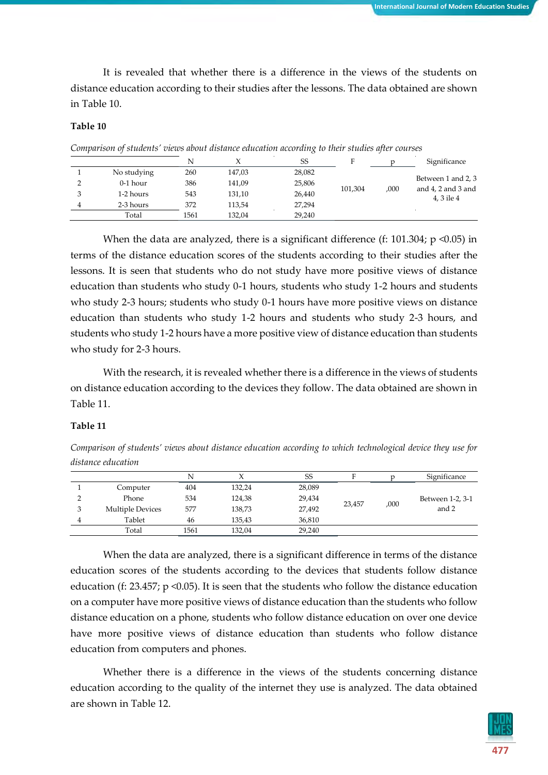It is revealed that whether there is a difference in the views of the students on distance education according to their studies after the lessons. The data obtained are shown in Table 10.

#### **Table 10**

|             | N    |        | <b>SS</b> | п       |      | Significance                                                 |  |
|-------------|------|--------|-----------|---------|------|--------------------------------------------------------------|--|
| No studying | 260  | 147,03 | 28,082    |         |      |                                                              |  |
| $0-1$ hour  | 386  | 141,09 | 25,806    |         |      | Between 1 and 2, 3<br>and $4$ , $2$ and $3$ and<br>4.3 ile 4 |  |
| 1-2 hours   | 543  | 131,10 | 26,440    | 101,304 | ,000 |                                                              |  |
| 2-3 hours   | 372  | 113.54 | 27.294    |         |      |                                                              |  |
| Total       | 1561 | 132.04 | 29.240    |         |      |                                                              |  |

When the data are analyzed, there is a significant difference (f: 101.304;  $p \le 0.05$ ) in terms of the distance education scores of the students according to their studies after the lessons. It is seen that students who do not study have more positive views of distance education than students who study 0-1 hours, students who study 1-2 hours and students who study 2-3 hours; students who study 0-1 hours have more positive views on distance education than students who study 1-2 hours and students who study 2-3 hours, and students who study 1-2 hours have a more positive view of distance education than students who study for 2-3 hours.

With the research, it is revealed whether there is a difference in the views of students on distance education according to the devices they follow. The data obtained are shown in Table 11.

#### **Table 11**

*Comparison of students' views about distance education according to which technological device they use for distance education*

|                         | N    |        | SS     | п      |      | Significance     |  |
|-------------------------|------|--------|--------|--------|------|------------------|--|
| Computer                | 404  | 132,24 | 28,089 |        |      |                  |  |
| Phone                   | 534  | 124,38 | 29,434 |        |      | Between 1-2, 3-1 |  |
| <b>Multiple Devices</b> | 577  | 138,73 | 27,492 | 23,457 | .000 | and 2            |  |
| Tablet                  | 46   | 135,43 | 36,810 |        |      |                  |  |
| Total                   | 1561 | 132,04 | 29,240 |        |      |                  |  |

When the data are analyzed, there is a significant difference in terms of the distance education scores of the students according to the devices that students follow distance education (f: 23.457; p <0.05). It is seen that the students who follow the distance education on a computer have more positive views of distance education than the students who follow distance education on a phone, students who follow distance education on over one device have more positive views of distance education than students who follow distance education from computers and phones.

Whether there is a difference in the views of the students concerning distance education according to the quality of the internet they use is analyzed. The data obtained are shown in Table 12.

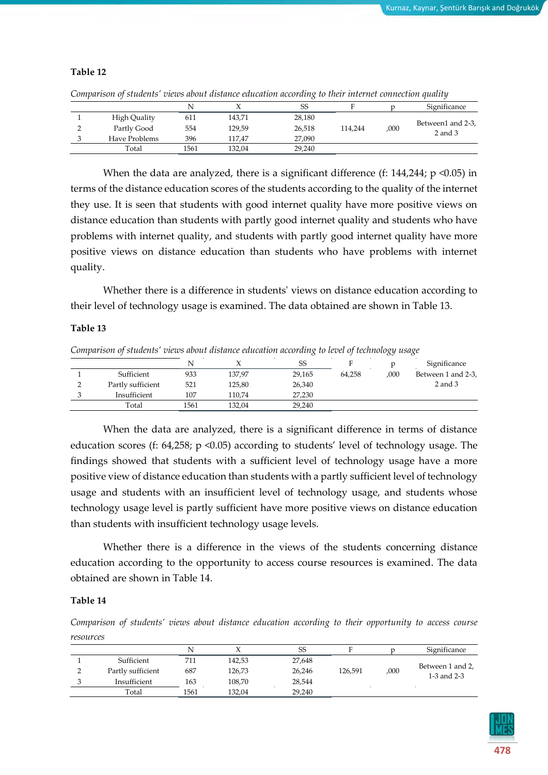#### **Table 12**

*Comparison of students' views about distance education according to their internet connection quality*

|               | N    |        | SS     |         |      | Significance                     |  |
|---------------|------|--------|--------|---------|------|----------------------------------|--|
| High Quality  | 611  | 143,71 | 28,180 |         |      |                                  |  |
| Partly Good   | 554  | 129,59 | 26,518 | 114.244 | ,000 | Between1 and 2-3,<br>$2$ and $3$ |  |
| Have Problems | 396  | 117.47 | 27.090 |         |      |                                  |  |
| Total         | 1561 | 132.04 | 29.240 |         |      |                                  |  |

When the data are analyzed, there is a significant difference (f:  $144,244$ ;  $p \le 0.05$ ) in terms of the distance education scores of the students according to the quality of the internet they use. It is seen that students with good internet quality have more positive views on distance education than students with partly good internet quality and students who have problems with internet quality, and students with partly good internet quality have more positive views on distance education than students who have problems with internet quality.

Whether there is a difference in students' views on distance education according to their level of technology usage is examined. The data obtained are shown in Table 13.

#### **Table 13**

*Comparison of students' views about distance education according to level of technology usage*

|                   |      |        | $\overline{\phantom{a}}$ |        | $\sim$ | $\overline{\phantom{a}}$ |
|-------------------|------|--------|--------------------------|--------|--------|--------------------------|
|                   | N    |        | SS                       |        |        | Significance             |
| Sufficient        | 933  | 137.97 | 29.165                   | 64.258 | ,000   | Between 1 and 2-3,       |
| Partly sufficient | 521  | 125,80 | 26,340                   |        |        | 2 and 3                  |
| Insufficient      | 107  | 110.74 | 27,230                   |        |        |                          |
| Total             | 1561 | 132,04 | 29,240                   |        |        |                          |

When the data are analyzed, there is a significant difference in terms of distance education scores (f: 64,258; p <0.05) according to students' level of technology usage. The findings showed that students with a sufficient level of technology usage have a more positive view of distance education than students with a partly sufficient level of technology usage and students with an insufficient level of technology usage, and students whose technology usage level is partly sufficient have more positive views on distance education than students with insufficient technology usage levels.

Whether there is a difference in the views of the students concerning distance education according to the opportunity to access course resources is examined. The data obtained are shown in Table 14.

#### **Table 14**

*Comparison of students' views about distance education according to their opportunity to access course resources*

|                   | N    |        | SS     |         |      | Significance                    |
|-------------------|------|--------|--------|---------|------|---------------------------------|
| Sufficient        | 711  | 142,53 | 27,648 |         |      | Between 1 and 2,<br>1-3 and 2-3 |
| Partly sufficient | 687  | 126,73 | 26,246 | 126.591 | ,000 |                                 |
| Insufficient      | 163  | 108.70 | 28.544 |         |      |                                 |
| Total             | 1561 | 132.04 | 29,240 |         |      |                                 |

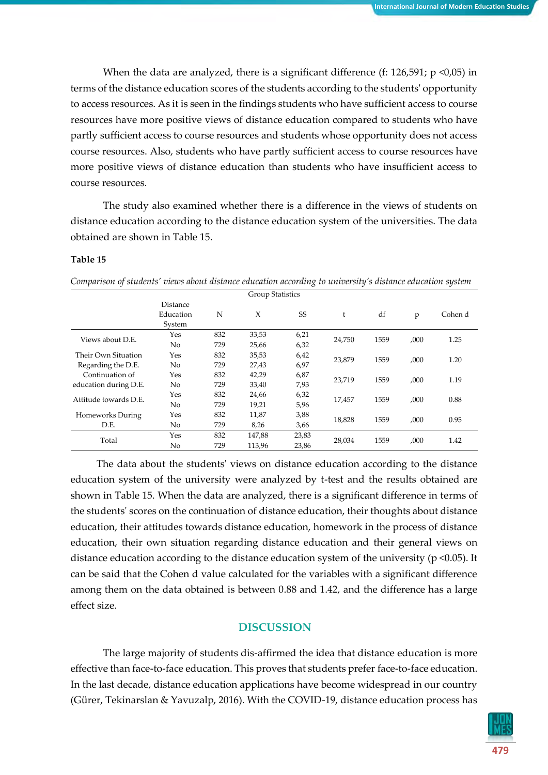When the data are analyzed, there is a significant difference (f:  $126,591$ ;  $p \le 0.05$ ) in terms of the distance education scores of the students according to the students' opportunity to access resources. As it is seen in the findings students who have sufficient access to course resources have more positive views of distance education compared to students who have partly sufficient access to course resources and students whose opportunity does not access course resources. Also, students who have partly sufficient access to course resources have more positive views of distance education than students who have insufficient access to course resources.

The study also examined whether there is a difference in the views of students on distance education according to the distance education system of the universities. The data obtained are shown in Table 15.

#### **Table 15**

|                       |                |     | <b>Group Statistics</b> |           |        |      |      |         |
|-----------------------|----------------|-----|-------------------------|-----------|--------|------|------|---------|
|                       | Distance       |     |                         |           |        |      |      |         |
|                       | Education      | N   | X                       | <b>SS</b> | t      | df   | p    | Cohen d |
|                       | System         |     |                         |           |        |      |      |         |
|                       | Yes            | 832 | 33,53                   | 6,21      |        |      | ,000 | 1.25    |
| Views about D.E.      | No             | 729 | 25,66                   | 6,32      | 24,750 | 1559 |      |         |
| Their Own Situation   | Yes            | 832 | 35,53                   | 6,42      | 23,879 |      |      |         |
| Regarding the D.E.    | No             | 729 | 27,43                   | 6,97      |        | 1559 | ,000 | 1.20    |
| Continuation of       | Yes            | 832 | 42,29                   | 6,87      |        |      |      |         |
| education during D.E. | No             | 729 | 33,40                   | 7,93      | 23,719 | 1559 | ,000 | 1.19    |
| Attitude towards D.E. | Yes            | 832 | 24,66                   | 6,32      | 17,457 | 1559 |      | 0.88    |
|                       | N <sub>o</sub> | 729 | 19,21                   | 5,96      |        |      | ,000 |         |
| Homeworks During      | Yes            | 832 | 11,87                   | 3,88      |        |      |      |         |
| D.E.                  | No             | 729 | 8,26                    | 3,66      | 18,828 | 1559 | ,000 | 0.95    |
|                       | Yes            | 832 | 147,88                  | 23,83     |        |      | ,000 | 1.42    |
| Total                 | No             | 729 | 113,96                  | 23,86     | 28,034 | 1559 |      |         |

*Comparison of students' views about distance education according to university's distance education system*

The data about the students' views on distance education according to the distance education system of the university were analyzed by t-test and the results obtained are shown in Table 15. When the data are analyzed, there is a significant difference in terms of the students' scores on the continuation of distance education, their thoughts about distance education, their attitudes towards distance education, homework in the process of distance education, their own situation regarding distance education and their general views on distance education according to the distance education system of the university (p <0.05). It can be said that the Cohen d value calculated for the variables with a significant difference among them on the data obtained is between 0.88 and 1.42, and the difference has a large effect size.

#### **DISCUSSION**

The large majority of students dis-affirmed the idea that distance education is more effective than face-to-face education. This proves that students prefer face-to-face education. In the last decade, distance education applications have become widespread in our country (Gürer, Tekinarslan & Yavuzalp, 2016). With the COVID-19, distance education process has

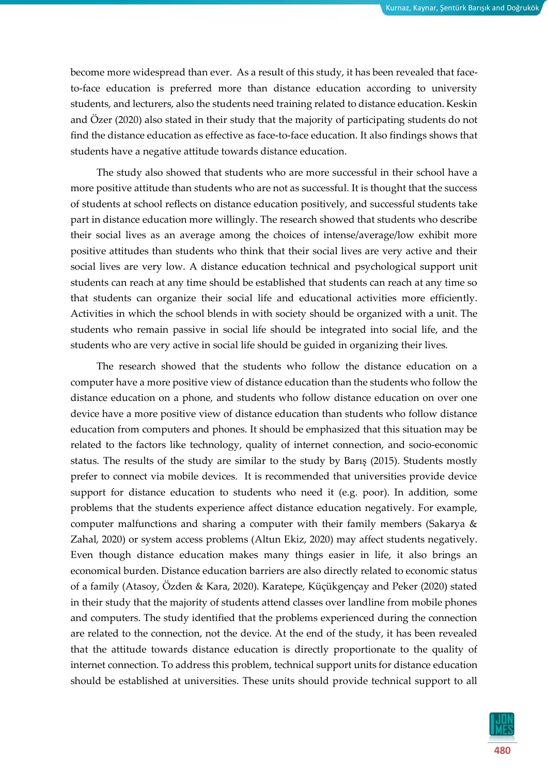become more widespread than ever. As a result of this study, it has been revealed that faceto-face education is preferred more than distance education according to university students, and lecturers, also the students need training related to distance education. Keskin and Özer (2020) also stated in their study that the majority of participating students do not find the distance education as effective as face-to-face education. It also findings shows that students have a negative attitude towards distance education.

The study also showed that students who are more successful in their school have a more positive attitude than students who are not as successful. It is thought that the success of students at school reflects on distance education positively, and successful students take part in distance education more willingly. The research showed that students who describe their social lives as an average among the choices of intense/average/low exhibit more positive attitudes than students who think that their social lives are very active and their social lives are very low. A distance education technical and psychological support unit students can reach at any time should be established that students can reach at any time so that students can organize their social life and educational activities more efficiently. Activities in which the school blends in with society should be organized with a unit. The students who remain passive in social life should be integrated into social life, and the students who are very active in social life should be guided in organizing their lives.

The research showed that the students who follow the distance education on a computer have a more positive view of distance education than the students who follow the distance education on a phone, and students who follow distance education on over one device have a more positive view of distance education than students who follow distance education from computers and phones. It should be emphasized that this situation may be related to the factors like technology, quality of internet connection, and socio-economic status. The results of the study are similar to the study by Barış (2015). Students mostly prefer to connect via mobile devices. It is recommended that universities provide device support for distance education to students who need it (e.g. poor). In addition, some problems that the students experience affect distance education negatively. For example, computer malfunctions and sharing a computer with their family members (Sakarya & Zahal, 2020) or system access problems (Altun Ekiz, 2020) may affect students negatively. Even though distance education makes many things easier in life, it also brings an economical burden. Distance education barriers are also directly related to economic status of a family (Atasoy, Özden & Kara, 2020). Karatepe, Küçükgençay and Peker (2020) stated in their study that the majority of students attend classes over landline from mobile phones and computers. The study identified that the problems experienced during the connection are related to the connection, not the device. At the end of the study, it has been revealed that the attitude towards distance education is directly proportionate to the quality of internet connection. To address this problem, technical support units for distance education should be established at universities. These units should provide technical support to all

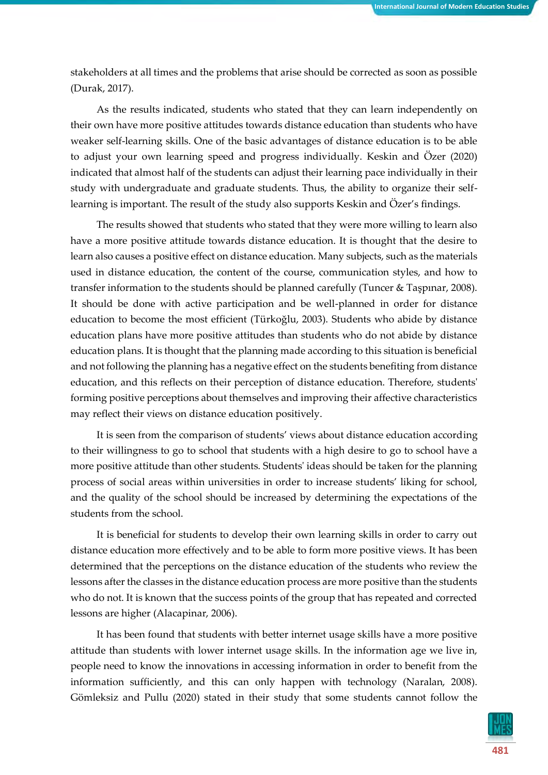stakeholders at all times and the problems that arise should be corrected as soon as possible (Durak, 2017).

As the results indicated, students who stated that they can learn independently on their own have more positive attitudes towards distance education than students who have weaker self-learning skills. One of the basic advantages of distance education is to be able to adjust your own learning speed and progress individually. Keskin and Özer (2020) indicated that almost half of the students can adjust their learning pace individually in their study with undergraduate and graduate students. Thus, the ability to organize their selflearning is important. The result of the study also supports Keskin and Özer's findings.

The results showed that students who stated that they were more willing to learn also have a more positive attitude towards distance education. It is thought that the desire to learn also causes a positive effect on distance education. Many subjects, such as the materials used in distance education, the content of the course, communication styles, and how to transfer information to the students should be planned carefully (Tuncer & Taşpınar, 2008). It should be done with active participation and be well-planned in order for distance education to become the most efficient (Türkoğlu, 2003). Students who abide by distance education plans have more positive attitudes than students who do not abide by distance education plans. It is thought that the planning made according to this situation is beneficial and not following the planning has a negative effect on the students benefiting from distance education, and this reflects on their perception of distance education. Therefore, students' forming positive perceptions about themselves and improving their affective characteristics may reflect their views on distance education positively.

It is seen from the comparison of students' views about distance education according to their willingness to go to school that students with a high desire to go to school have a more positive attitude than other students. Students' ideas should be taken for the planning process of social areas within universities in order to increase students' liking for school, and the quality of the school should be increased by determining the expectations of the students from the school.

It is beneficial for students to develop their own learning skills in order to carry out distance education more effectively and to be able to form more positive views. It has been determined that the perceptions on the distance education of the students who review the lessons after the classes in the distance education process are more positive than the students who do not. It is known that the success points of the group that has repeated and corrected lessons are higher (Alacapinar, 2006).

It has been found that students with better internet usage skills have a more positive attitude than students with lower internet usage skills. In the information age we live in, people need to know the innovations in accessing information in order to benefit from the information sufficiently, and this can only happen with technology (Naralan, 2008). Gömleksiz and Pullu (2020) stated in their study that some students cannot follow the

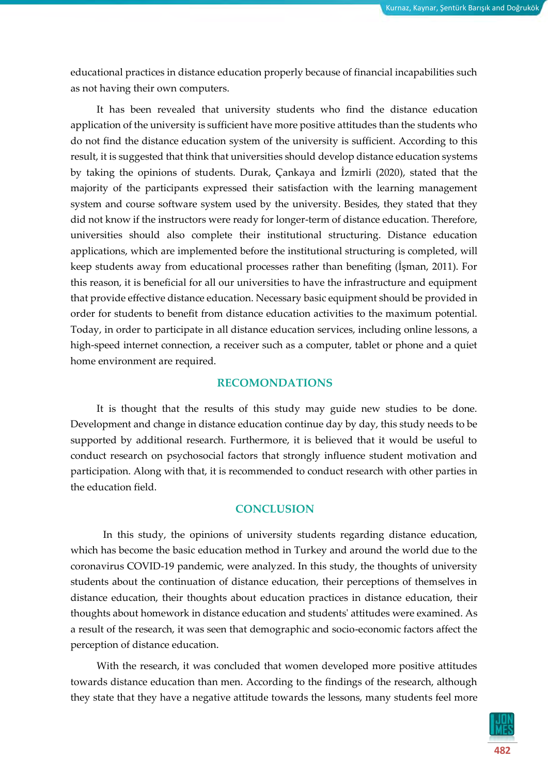educational practices in distance education properly because of financial incapabilities such as not having their own computers.

It has been revealed that university students who find the distance education application of the university is sufficient have more positive attitudes than the students who do not find the distance education system of the university is sufficient. According to this result, it is suggested that think that universities should develop distance education systems by taking the opinions of students. Durak, Çankaya and İzmirli (2020), stated that the majority of the participants expressed their satisfaction with the learning management system and course software system used by the university. Besides, they stated that they did not know if the instructors were ready for longer-term of distance education. Therefore, universities should also complete their institutional structuring. Distance education applications, which are implemented before the institutional structuring is completed, will keep students away from educational processes rather than benefiting (İşman, 2011). For this reason, it is beneficial for all our universities to have the infrastructure and equipment that provide effective distance education. Necessary basic equipment should be provided in order for students to benefit from distance education activities to the maximum potential. Today, in order to participate in all distance education services, including online lessons, a high-speed internet connection, a receiver such as a computer, tablet or phone and a quiet home environment are required.

#### **RECOMONDATIONS**

It is thought that the results of this study may guide new studies to be done. Development and change in distance education continue day by day, this study needs to be supported by additional research. Furthermore, it is believed that it would be useful to conduct research on psychosocial factors that strongly influence student motivation and participation. Along with that, it is recommended to conduct research with other parties in the education field.

#### **CONCLUSION**

In this study, the opinions of university students regarding distance education, which has become the basic education method in Turkey and around the world due to the coronavirus COVID-19 pandemic, were analyzed. In this study, the thoughts of university students about the continuation of distance education, their perceptions of themselves in distance education, their thoughts about education practices in distance education, their thoughts about homework in distance education and students' attitudes were examined. As a result of the research, it was seen that demographic and socio-economic factors affect the perception of distance education.

With the research, it was concluded that women developed more positive attitudes towards distance education than men. According to the findings of the research, although they state that they have a negative attitude towards the lessons, many students feel more

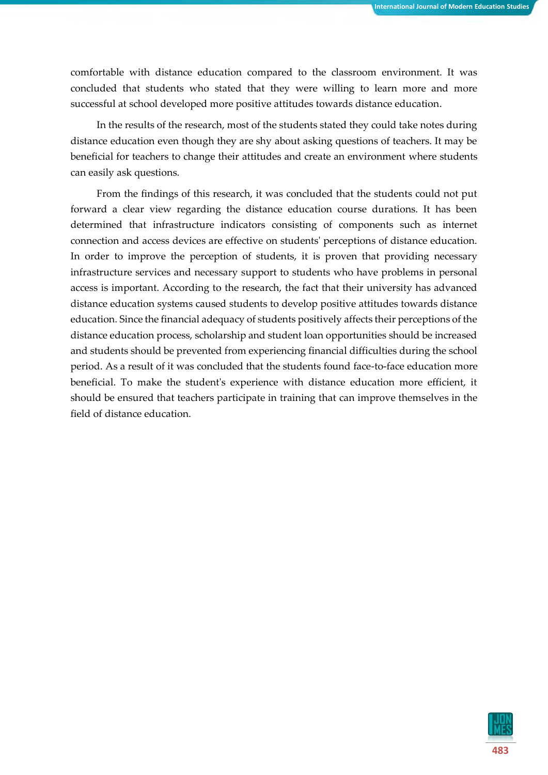comfortable with distance education compared to the classroom environment. It was concluded that students who stated that they were willing to learn more and more successful at school developed more positive attitudes towards distance education.

In the results of the research, most of the students stated they could take notes during distance education even though they are shy about asking questions of teachers. It may be beneficial for teachers to change their attitudes and create an environment where students can easily ask questions.

From the findings of this research, it was concluded that the students could not put forward a clear view regarding the distance education course durations. It has been determined that infrastructure indicators consisting of components such as internet connection and access devices are effective on students' perceptions of distance education. In order to improve the perception of students, it is proven that providing necessary infrastructure services and necessary support to students who have problems in personal access is important. According to the research, the fact that their university has advanced distance education systems caused students to develop positive attitudes towards distance education. Since the financial adequacy of students positively affects their perceptions of the distance education process, scholarship and student loan opportunities should be increased and students should be prevented from experiencing financial difficulties during the school period. As a result of it was concluded that the students found face-to-face education more beneficial. To make the student's experience with distance education more efficient, it should be ensured that teachers participate in training that can improve themselves in the field of distance education.

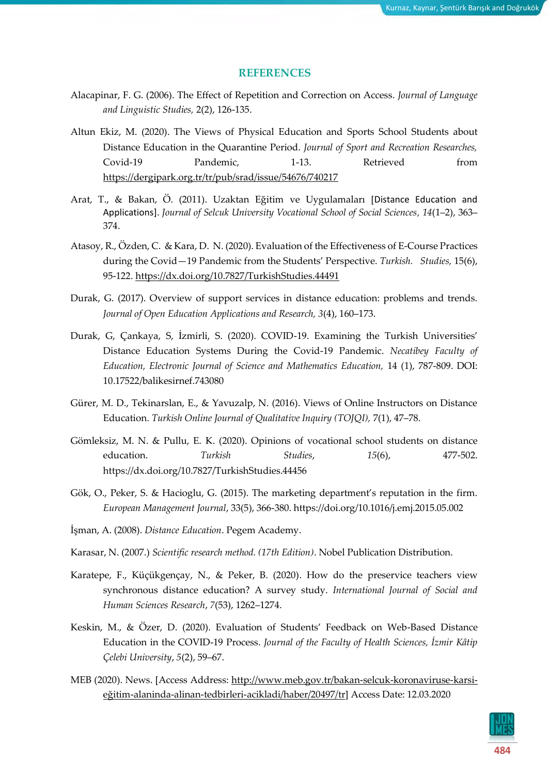#### **REFERENCES**

- Alacapinar, F. G. (2006). The Effect of Repetition and Correction on Access. *Journal of Language and Linguistic Studies,* 2(2), 126-135.
- Altun Ekiz, M. (2020). The Views of Physical Education and Sports School Students about Distance Education in the Quarantine Period. *Journal of Sport and Recreation Researches,* Covid-19 Pandemic, 1-13. Retrieved from <https://dergipark.org.tr/tr/pub/srad/issue/54676/740217>
- Arat, T., & Bakan, Ö. (2011). Uzaktan Eğitim ve Uygulamaları [Distance Education and Applications]. *Journal of Selcuk University Vocational School of Social Sciences, 14*(1–2), 363– 374.
- Atasoy, R., Özden, C. & Kara, D. N. (2020). Evaluation of the Effectiveness of E-Course Practices during the Covid—19 Pandemic from the Students' Perspective. *Turkish. Studies,* 15(6), 95-122.<https://dx.doi.org/10.7827/TurkishStudies.44491>
- Durak, G. (2017). Overview of support services in distance education: problems and trends. *Journal of Open Education Applications and Research, 3*(4), 160–173.
- Durak, G, Çankaya, S, İzmirli, S. (2020). COVID-19. Examining the Turkish Universities' Distance Education Systems During the Covid-19 Pandemic. *Necatibey Faculty of Education, Electronic Journal of Science and Mathematics Education,* 14 (1), 787-809. DOI: 10.17522/balikesirnef.743080
- Gürer, M. D., Tekinarslan, E., & Yavuzalp, N. (2016). Views of Online Instructors on Distance Education. *Turkish Online Journal of Qualitative Inquiry (TOJQI),* 7(1), 47–78.
- Gömleksiz, M. N. & Pullu, E. K. (2020). Opinions of vocational school students on distance education. *Turkish Studies*, *15*(6), 477-502. https://dx.doi.org/10.7827/TurkishStudies.44456
- Gök, O., Peker, S. & Hacioglu, G. (2015). The marketing department's reputation in the firm. *European Management Journal*, 33(5), 366-380. https://doi.org/10.1016/j.emj.2015.05.002
- İşman, A. (2008). *Distance Education*. Pegem Academy.
- Karasar, N. (2007.) *Scientific research method. (17th Edition)*. Nobel Publication Distribution.
- Karatepe, F., Küçükgençay, N., & Peker, B. (2020). How do the preservice teachers view synchronous distance education? A survey study. *International Journal of Social and Human Sciences Research*, *7*(53), 1262–1274.
- Keskin, M., & Özer, D. (2020). Evaluation of Students' Feedback on Web-Based Distance Education in the COVID-19 Process. *Journal of the Faculty of Health Sciences, İzmir Kâtip Çelebi University*, *5*(2), 59–67.
- MEB (2020). News. [Access Address: [http://www.meb.gov.tr/bakan-selcuk-koronaviruse-karsi](http://www.meb.gov.tr/bakan-selcuk-koronaviruse-karsi-egitim-alaninda-alinan-tedbirleri-acikladi/haber/20497/tr)eğitim[-alaninda-alinan-tedbirleri-acikladi/haber/20497/tr\]](http://www.meb.gov.tr/bakan-selcuk-koronaviruse-karsi-egitim-alaninda-alinan-tedbirleri-acikladi/haber/20497/tr) Access Date: 12.03.2020

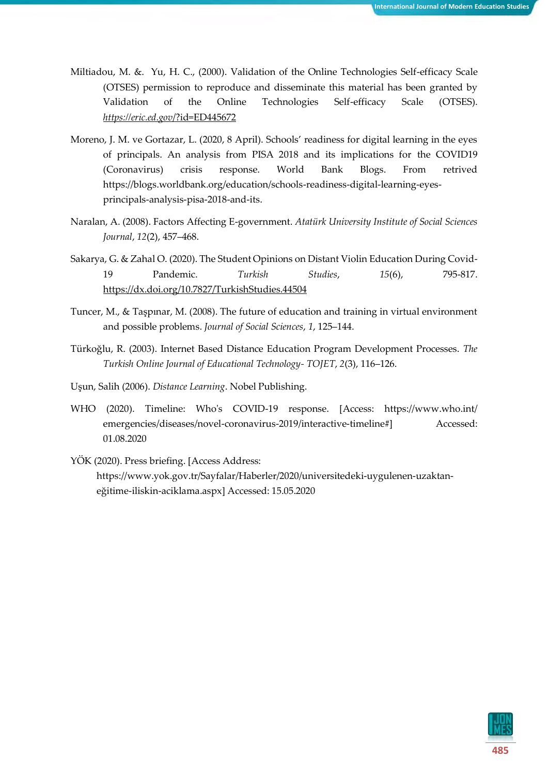- Miltiadou, M. &. Yu, H. C., (2000). Validation of the Online Technologies Self-efficacy Scale (OTSES) permission to reproduce and disseminate this material has been granted by Validation of the Online Technologies Self-efficacy Scale (OTSES). *[https://eric.ed.gov](https://eric.ed.gov/?id=ED445672)*/?id=ED445672
- Moreno, J. M. ve Gortazar, L. (2020, 8 April). Schools' readiness for digital learning in the eyes of principals. An analysis from PISA 2018 and its implications for the COVID19 (Coronavirus) crisis response. World Bank Blogs. From retrived https://blogs.worldbank.org/education/schools-readiness-digital-learning-eyesprincipals-analysis-pisa-2018-and-its.
- Naralan, A. (2008). Factors Affecting E-government. *Atatürk University Institute of Social Sciences Journal*, *12*(2), 457–468.
- Sakarya, G. & Zahal O. (2020). The Student Opinions on Distant Violin Education During Covid-19 Pandemic. *Turkish Studies*, *15*(6), 795-817. <https://dx.doi.org/10.7827/TurkishStudies.44504>
- Tuncer, M., & Taşpınar, M. (2008). The future of education and training in virtual environment and possible problems. *Journal of Social Sciences*, *1*, 125–144.
- Türkoğlu, R. (2003). Internet Based Distance Education Program Development Processes. *The Turkish Online Journal of Educational Technology- TOJET*, *2*(3), 116–126.
- Uşun, Salih (2006). *Distance Learning*. Nobel Publishing.
- WHO (2020). Timeline: Who's COVID-19 response. [Access: https://www.who.int/ emergencies/diseases/novel-coronavirus-2019/interactive-timeline#] Accessed: 01.08.2020

YÖK (2020). Press briefing. [Access Address: https://www.yok.gov.tr/Sayfalar/Haberler/2020/universitedeki-uygulenen-uzaktaneğitime-iliskin-aciklama.aspx] Accessed: 15.05.2020